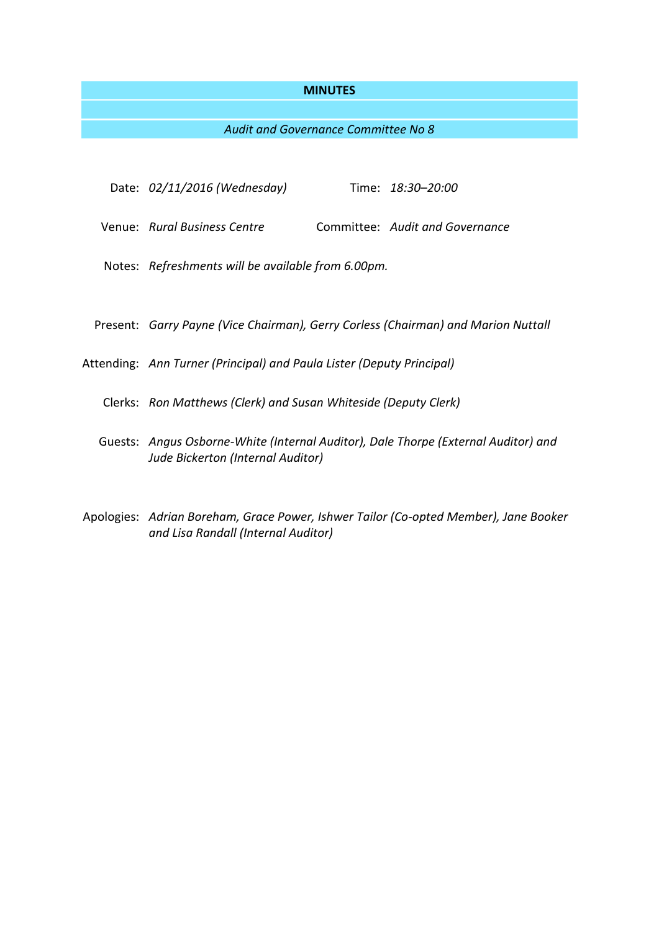#### **MINUTES**

## *Audit and Governance Committee No 8*

- Date: *02/11/2016 (Wednesday)* Time: *18:30–20:00*
- Venue: *Rural Business Centre* Committee: *Audit and Governance*
- Notes: *Refreshments will be available from 6.00pm.*
- Present: *Garry Payne (Vice Chairman), Gerry Corless (Chairman) and Marion Nuttall*
- Attending: *Ann Turner (Principal) and Paula Lister (Deputy Principal)*
	- Clerks: *Ron Matthews (Clerk) and Susan Whiteside (Deputy Clerk)*
	- Guests: *Angus Osborne-White (Internal Auditor), Dale Thorpe (External Auditor) and Jude Bickerton (Internal Auditor)*
- Apologies: *Adrian Boreham, Grace Power, Ishwer Tailor (Co-opted Member), Jane Booker and Lisa Randall (Internal Auditor)*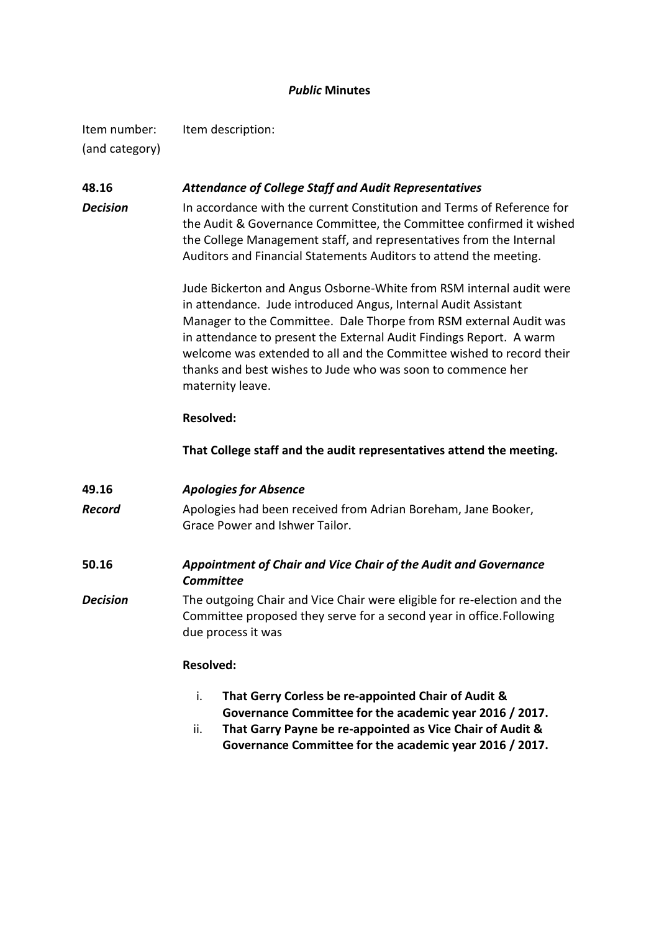## *Public* **Minutes**

Item number: Item description: (and category)

## **48.16** *Attendance of College Staff and Audit Representatives*

**Decision** In accordance with the current Constitution and Terms of Reference for the Audit & Governance Committee, the Committee confirmed it wished the College Management staff, and representatives from the Internal Auditors and Financial Statements Auditors to attend the meeting.

> Jude Bickerton and Angus Osborne-White from RSM internal audit were in attendance. Jude introduced Angus, Internal Audit Assistant Manager to the Committee. Dale Thorpe from RSM external Audit was in attendance to present the External Audit Findings Report. A warm welcome was extended to all and the Committee wished to record their thanks and best wishes to Jude who was soon to commence her maternity leave.

## **Resolved:**

**That College staff and the audit representatives attend the meeting.**

| 49.16    | <b>Apologies for Absence</b>                                                                                                                                          |
|----------|-----------------------------------------------------------------------------------------------------------------------------------------------------------------------|
| Record   | Apologies had been received from Adrian Boreham, Jane Booker,<br>Grace Power and Ishwer Tailor.                                                                       |
| 50.16    | Appointment of Chair and Vice Chair of the Audit and Governance<br>Committee                                                                                          |
| Decision | The outgoing Chair and Vice Chair were eligible for re-election and the<br>Committee proposed they serve for a second year in office. Following<br>due process it was |

## **Resolved:**

- i. **That Gerry Corless be re-appointed Chair of Audit & Governance Committee for the academic year 2016 / 2017.**
- ii. **That Garry Payne be re-appointed as Vice Chair of Audit & Governance Committee for the academic year 2016 / 2017.**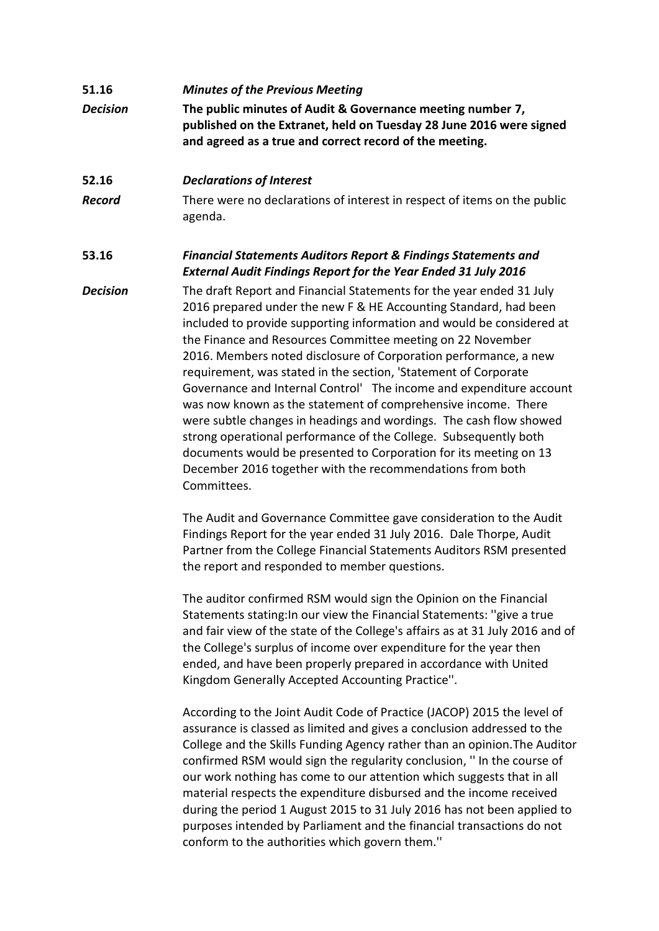# **51.16** *Minutes of the Previous Meeting Decision* **The public minutes of Audit & Governance meeting number 7, published on the Extranet, held on Tuesday 28 June 2016 were signed and agreed as a true and correct record of the meeting.**

## **52.16** *Declarations of Interest*

*Record* There were no declarations of interest in respect of items on the public agenda.

# **53.16** *Financial Statements Auditors Report & Findings Statements and External Audit Findings Report for the Year Ended 31 July 2016*

*Decision* The draft Report and Financial Statements for the year ended 31 July 2016 prepared under the new F & HE Accounting Standard, had been included to provide supporting information and would be considered at the Finance and Resources Committee meeting on 22 November 2016. Members noted disclosure of Corporation performance, a new requirement, was stated in the section, 'Statement of Corporate Governance and Internal Control' The income and expenditure account was now known as the statement of comprehensive income. There were subtle changes in headings and wordings. The cash flow showed strong operational performance of the College. Subsequently both documents would be presented to Corporation for its meeting on 13 December 2016 together with the recommendations from both Committees.

> The Audit and Governance Committee gave consideration to the Audit Findings Report for the year ended 31 July 2016. Dale Thorpe, Audit Partner from the College Financial Statements Auditors RSM presented the report and responded to member questions.

The auditor confirmed RSM would sign the Opinion on the Financial Statements stating:In our view the Financial Statements: ''give a true and fair view of the state of the College's affairs as at 31 July 2016 and of the College's surplus of income over expenditure for the year then ended, and have been properly prepared in accordance with United Kingdom Generally Accepted Accounting Practice''.

According to the Joint Audit Code of Practice (JACOP) 2015 the level of assurance is classed as limited and gives a conclusion addressed to the College and the Skills Funding Agency rather than an opinion.The Auditor confirmed RSM would sign the regularity conclusion, '' In the course of our work nothing has come to our attention which suggests that in all material respects the expenditure disbursed and the income received during the period 1 August 2015 to 31 July 2016 has not been applied to purposes intended by Parliament and the financial transactions do not conform to the authorities which govern them.''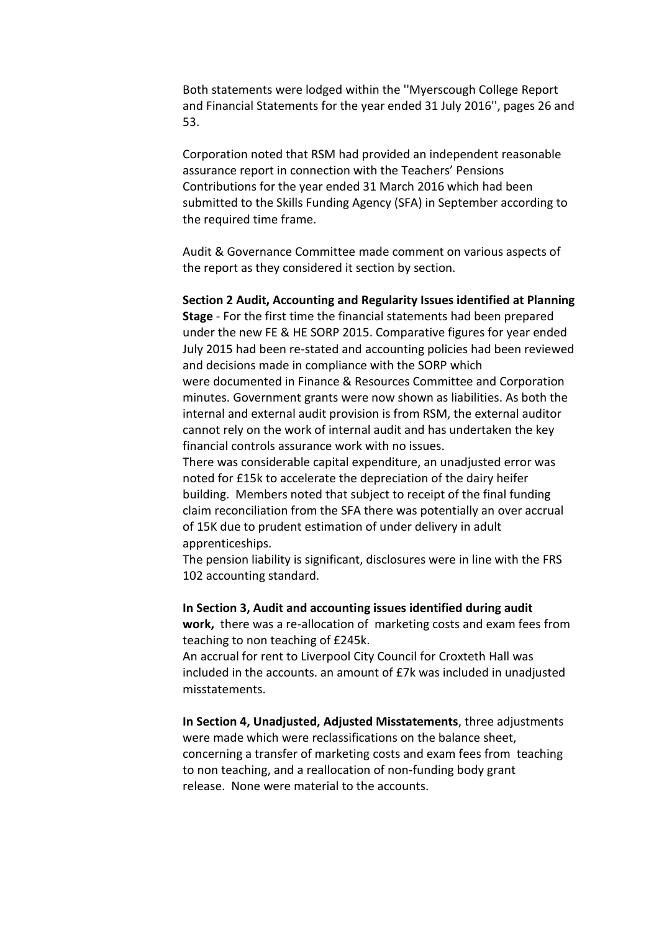Both statements were lodged within the ''Myerscough College Report and Financial Statements for the year ended 31 July 2016'', pages 26 and 53.

Corporation noted that RSM had provided an independent reasonable assurance report in connection with the Teachers' Pensions Contributions for the year ended 31 March 2016 which had been submitted to the Skills Funding Agency (SFA) in September according to the required time frame.

Audit & Governance Committee made comment on various aspects of the report as they considered it section by section.

**Section 2 Audit, Accounting and Regularity Issues identified at Planning Stage** - For the first time the financial statements had been prepared under the new FE & HE SORP 2015. Comparative figures for year ended July 2015 had been re-stated and accounting policies had been reviewed and decisions made in compliance with the SORP which were documented in Finance & Resources Committee and Corporation minutes. Government grants were now shown as liabilities. As both the internal and external audit provision is from RSM, the external auditor cannot rely on the work of internal audit and has undertaken the key financial controls assurance work with no issues.

There was considerable capital expenditure, an unadjusted error was noted for £15k to accelerate the depreciation of the dairy heifer building. Members noted that subject to receipt of the final funding claim reconciliation from the SFA there was potentially an over accrual of 15K due to prudent estimation of under delivery in adult apprenticeships.

The pension liability is significant, disclosures were in line with the FRS 102 accounting standard.

**In Section 3, Audit and accounting issues identified during audit work,** there was a re-allocation of marketing costs and exam fees from

teaching to non teaching of £245k. An accrual for rent to Liverpool City Council for Croxteth Hall was

included in the accounts. an amount of £7k was included in unadjusted misstatements.

**In Section 4, Unadjusted, Adjusted Misstatements**, three adjustments were made which were reclassifications on the balance sheet, concerning a transfer of marketing costs and exam fees from teaching to non teaching, and a reallocation of non-funding body grant release. None were material to the accounts.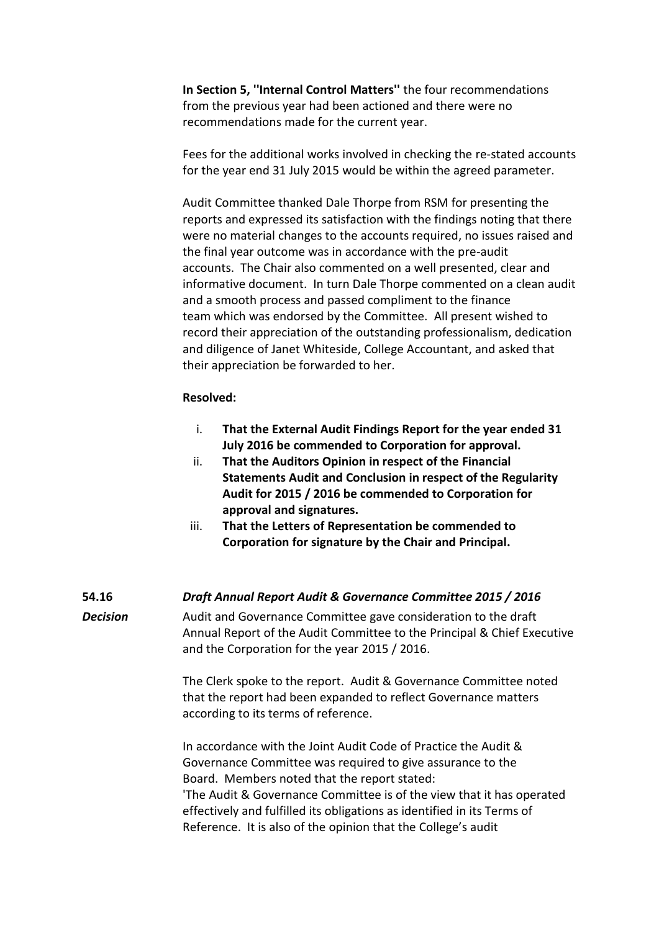**In Section 5, ''Internal Control Matters''** the four recommendations from the previous year had been actioned and there were no recommendations made for the current year.

Fees for the additional works involved in checking the re-stated accounts for the year end 31 July 2015 would be within the agreed parameter.

Audit Committee thanked Dale Thorpe from RSM for presenting the reports and expressed its satisfaction with the findings noting that there were no material changes to the accounts required, no issues raised and the final year outcome was in accordance with the pre-audit accounts. The Chair also commented on a well presented, clear and informative document. In turn Dale Thorpe commented on a clean audit and a smooth process and passed compliment to the finance team which was endorsed by the Committee. All present wished to record their appreciation of the outstanding professionalism, dedication and diligence of Janet Whiteside, College Accountant, and asked that their appreciation be forwarded to her.

#### **Resolved:**

- i. **That the External Audit Findings Report for the year ended 31 July 2016 be commended to Corporation for approval.**
- ii. **That the Auditors Opinion in respect of the Financial Statements Audit and Conclusion in respect of the Regularity Audit for 2015 / 2016 be commended to Corporation for approval and signatures.**
- iii. **That the Letters of Representation be commended to Corporation for signature by the Chair and Principal.**

## **54.16** *Draft Annual Report Audit & Governance Committee 2015 / 2016*

*Decision* Audit and Governance Committee gave consideration to the draft Annual Report of the Audit Committee to the Principal & Chief Executive and the Corporation for the year 2015 / 2016.

> The Clerk spoke to the report. Audit & Governance Committee noted that the report had been expanded to reflect Governance matters according to its terms of reference.

In accordance with the Joint Audit Code of Practice the Audit & Governance Committee was required to give assurance to the Board. Members noted that the report stated: 'The Audit & Governance Committee is of the view that it has operated effectively and fulfilled its obligations as identified in its Terms of Reference. It is also of the opinion that the College's audit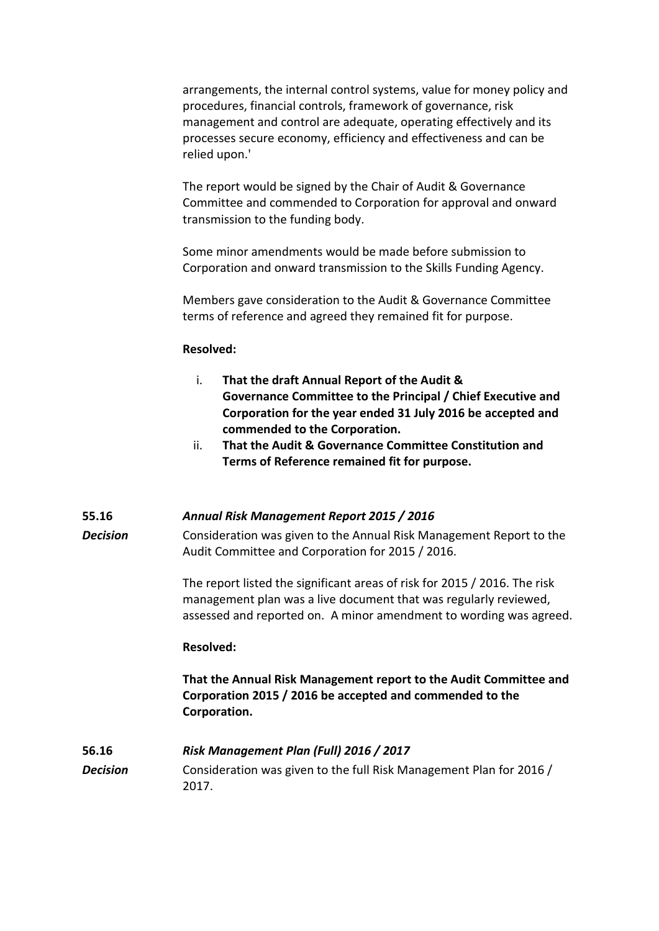arrangements, the internal control systems, value for money policy and procedures, financial controls, framework of governance, risk management and control are adequate, operating effectively and its processes secure economy, efficiency and effectiveness and can be relied upon.'

The report would be signed by the Chair of Audit & Governance Committee and commended to Corporation for approval and onward transmission to the funding body.

Some minor amendments would be made before submission to Corporation and onward transmission to the Skills Funding Agency.

Members gave consideration to the Audit & Governance Committee terms of reference and agreed they remained fit for purpose.

## **Resolved:**

- i. **That the draft Annual Report of the Audit & Governance Committee to the Principal / Chief Executive and Corporation for the year ended 31 July 2016 be accepted and commended to the Corporation.**
- ii. **That the Audit & Governance Committee Constitution and Terms of Reference remained fit for purpose.**

# **55.16** *Annual Risk Management Report 2015 / 2016*

*Decision* Consideration was given to the Annual Risk Management Report to the Audit Committee and Corporation for 2015 / 2016.

> The report listed the significant areas of risk for 2015 / 2016. The risk management plan was a live document that was regularly reviewed, assessed and reported on. A minor amendment to wording was agreed.

# **Resolved:**

2017.

**That the Annual Risk Management report to the Audit Committee and Corporation 2015 / 2016 be accepted and commended to the Corporation.**

# **56.16** *Risk Management Plan (Full) 2016 / 2017* **Decision** Consideration was given to the full Risk Management Plan for 2016 /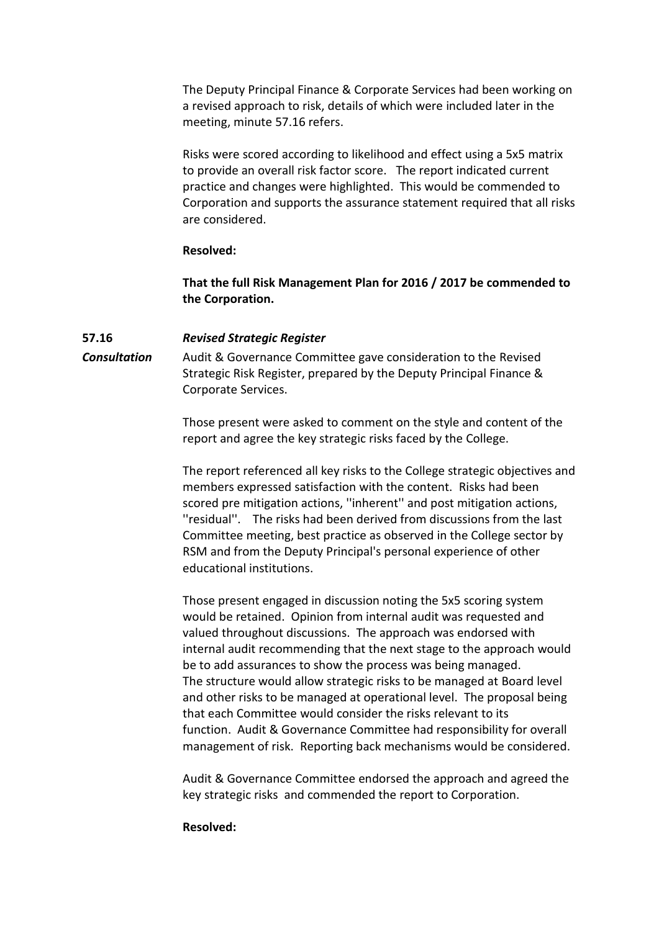The Deputy Principal Finance & Corporate Services had been working on a revised approach to risk, details of which were included later in the meeting, minute 57.16 refers.

Risks were scored according to likelihood and effect using a 5x5 matrix to provide an overall risk factor score. The report indicated current practice and changes were highlighted. This would be commended to Corporation and supports the assurance statement required that all risks are considered.

#### **Resolved:**

**That the full Risk Management Plan for 2016 / 2017 be commended to the Corporation.**

## **57.16** *Revised Strategic Register*

*Consultation* Audit & Governance Committee gave consideration to the Revised Strategic Risk Register, prepared by the Deputy Principal Finance & Corporate Services.

> Those present were asked to comment on the style and content of the report and agree the key strategic risks faced by the College.

The report referenced all key risks to the College strategic objectives and members expressed satisfaction with the content. Risks had been scored pre mitigation actions, ''inherent'' and post mitigation actions, ''residual''. The risks had been derived from discussions from the last Committee meeting, best practice as observed in the College sector by RSM and from the Deputy Principal's personal experience of other educational institutions.

Those present engaged in discussion noting the 5x5 scoring system would be retained. Opinion from internal audit was requested and valued throughout discussions. The approach was endorsed with internal audit recommending that the next stage to the approach would be to add assurances to show the process was being managed. The structure would allow strategic risks to be managed at Board level and other risks to be managed at operational level. The proposal being that each Committee would consider the risks relevant to its function. Audit & Governance Committee had responsibility for overall management of risk. Reporting back mechanisms would be considered.

Audit & Governance Committee endorsed the approach and agreed the key strategic risks and commended the report to Corporation.

#### **Resolved:**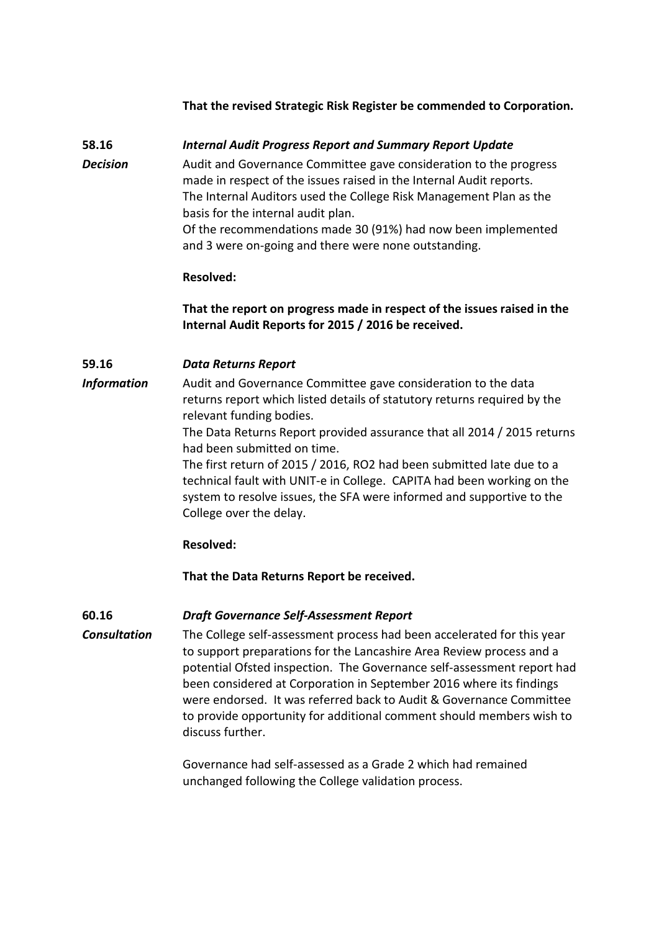## **That the revised Strategic Risk Register be commended to Corporation.**

## **58.16** *Internal Audit Progress Report and Summary Report Update*

*Decision* Audit and Governance Committee gave consideration to the progress made in respect of the issues raised in the Internal Audit reports. The Internal Auditors used the College Risk Management Plan as the basis for the internal audit plan. Of the recommendations made 30 (91%) had now been implemented

and 3 were on-going and there were none outstanding.

## **Resolved:**

# **That the report on progress made in respect of the issues raised in the Internal Audit Reports for 2015 / 2016 be received.**

## **59.16** *Data Returns Report*

*Information* Audit and Governance Committee gave consideration to the data returns report which listed details of statutory returns required by the relevant funding bodies.

> The Data Returns Report provided assurance that all 2014 / 2015 returns had been submitted on time.

The first return of 2015 / 2016, RO2 had been submitted late due to a technical fault with UNIT-e in College. CAPITA had been working on the system to resolve issues, the SFA were informed and supportive to the College over the delay.

## **Resolved:**

**That the Data Returns Report be received.**

#### **60.16** *Draft Governance Self-Assessment Report*

*Consultation* The College self-assessment process had been accelerated for this year to support preparations for the Lancashire Area Review process and a potential Ofsted inspection. The Governance self-assessment report had been considered at Corporation in September 2016 where its findings were endorsed. It was referred back to Audit & Governance Committee to provide opportunity for additional comment should members wish to discuss further.

> Governance had self-assessed as a Grade 2 which had remained unchanged following the College validation process.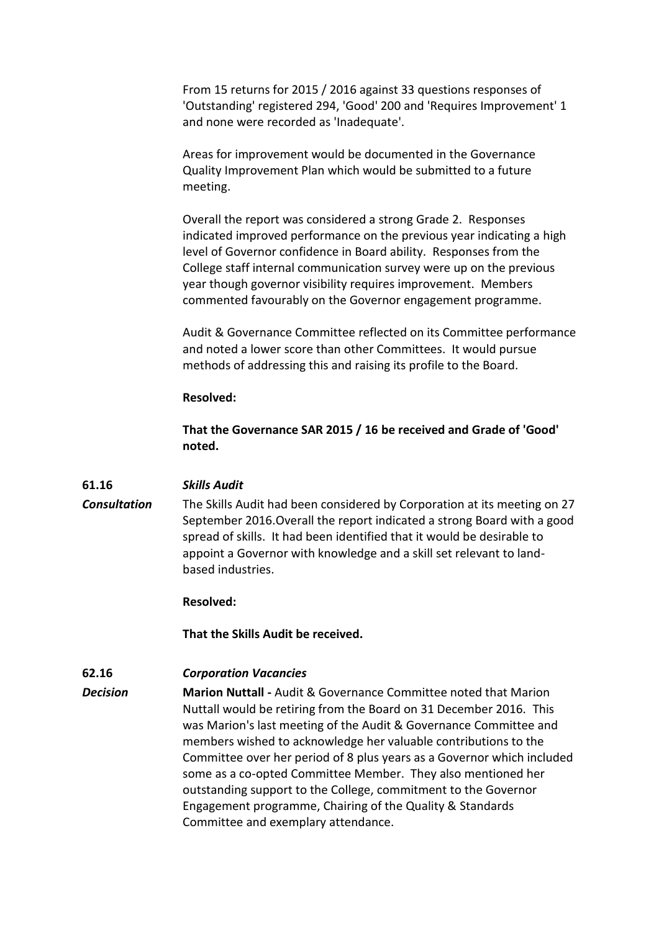From 15 returns for 2015 / 2016 against 33 questions responses of 'Outstanding' registered 294, 'Good' 200 and 'Requires Improvement' 1 and none were recorded as 'Inadequate'.

Areas for improvement would be documented in the Governance Quality Improvement Plan which would be submitted to a future meeting.

Overall the report was considered a strong Grade 2. Responses indicated improved performance on the previous year indicating a high level of Governor confidence in Board ability. Responses from the College staff internal communication survey were up on the previous year though governor visibility requires improvement. Members commented favourably on the Governor engagement programme.

Audit & Governance Committee reflected on its Committee performance and noted a lower score than other Committees. It would pursue methods of addressing this and raising its profile to the Board.

#### **Resolved:**

**That the Governance SAR 2015 / 16 be received and Grade of 'Good' noted.**

#### **61.16** *Skills Audit*

*Consultation* The Skills Audit had been considered by Corporation at its meeting on 27 September 2016.Overall the report indicated a strong Board with a good spread of skills. It had been identified that it would be desirable to appoint a Governor with knowledge and a skill set relevant to landbased industries.

#### **Resolved:**

**That the Skills Audit be received.**

## **62.16** *Corporation Vacancies*

*Decision* **Marion Nuttall -** Audit & Governance Committee noted that Marion Nuttall would be retiring from the Board on 31 December 2016. This was Marion's last meeting of the Audit & Governance Committee and members wished to acknowledge her valuable contributions to the Committee over her period of 8 plus years as a Governor which included some as a co-opted Committee Member. They also mentioned her outstanding support to the College, commitment to the Governor Engagement programme, Chairing of the Quality & Standards Committee and exemplary attendance.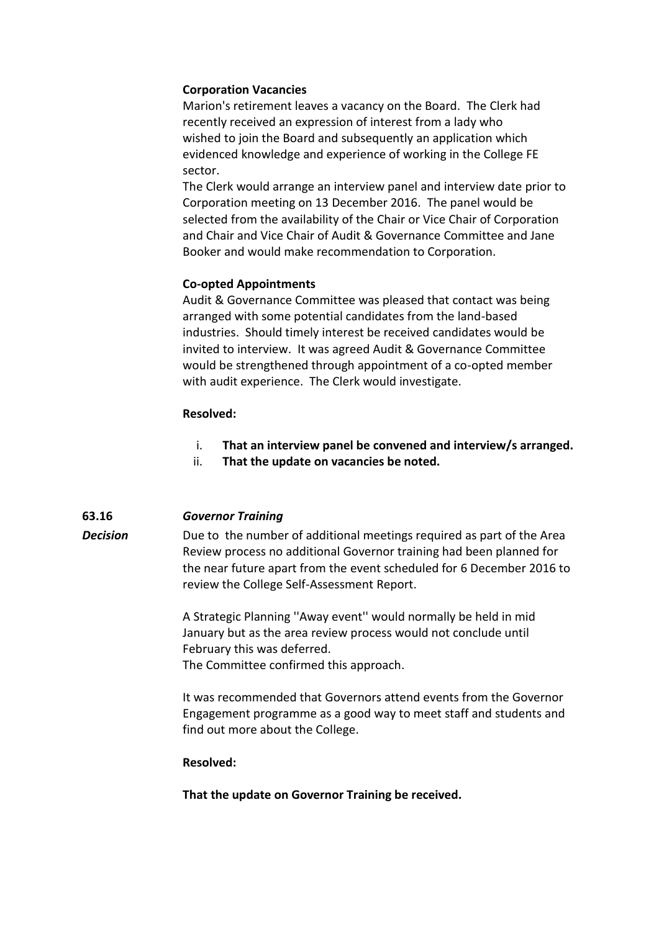## **Corporation Vacancies**

Marion's retirement leaves a vacancy on the Board. The Clerk had recently received an expression of interest from a lady who wished to join the Board and subsequently an application which evidenced knowledge and experience of working in the College FE sector.

The Clerk would arrange an interview panel and interview date prior to Corporation meeting on 13 December 2016. The panel would be selected from the availability of the Chair or Vice Chair of Corporation and Chair and Vice Chair of Audit & Governance Committee and Jane Booker and would make recommendation to Corporation.

## **Co-opted Appointments**

Audit & Governance Committee was pleased that contact was being arranged with some potential candidates from the land-based industries. Should timely interest be received candidates would be invited to interview. It was agreed Audit & Governance Committee would be strengthened through appointment of a co-opted member with audit experience. The Clerk would investigate.

#### **Resolved:**

- i. **That an interview panel be convened and interview/s arranged.**
- ii. **That the update on vacancies be noted.**

#### **63.16** *Governor Training*

*Decision* Due to the number of additional meetings required as part of the Area Review process no additional Governor training had been planned for the near future apart from the event scheduled for 6 December 2016 to review the College Self-Assessment Report.

> A Strategic Planning ''Away event'' would normally be held in mid January but as the area review process would not conclude until February this was deferred. The Committee confirmed this approach.

It was recommended that Governors attend events from the Governor Engagement programme as a good way to meet staff and students and find out more about the College.

#### **Resolved:**

**That the update on Governor Training be received.**